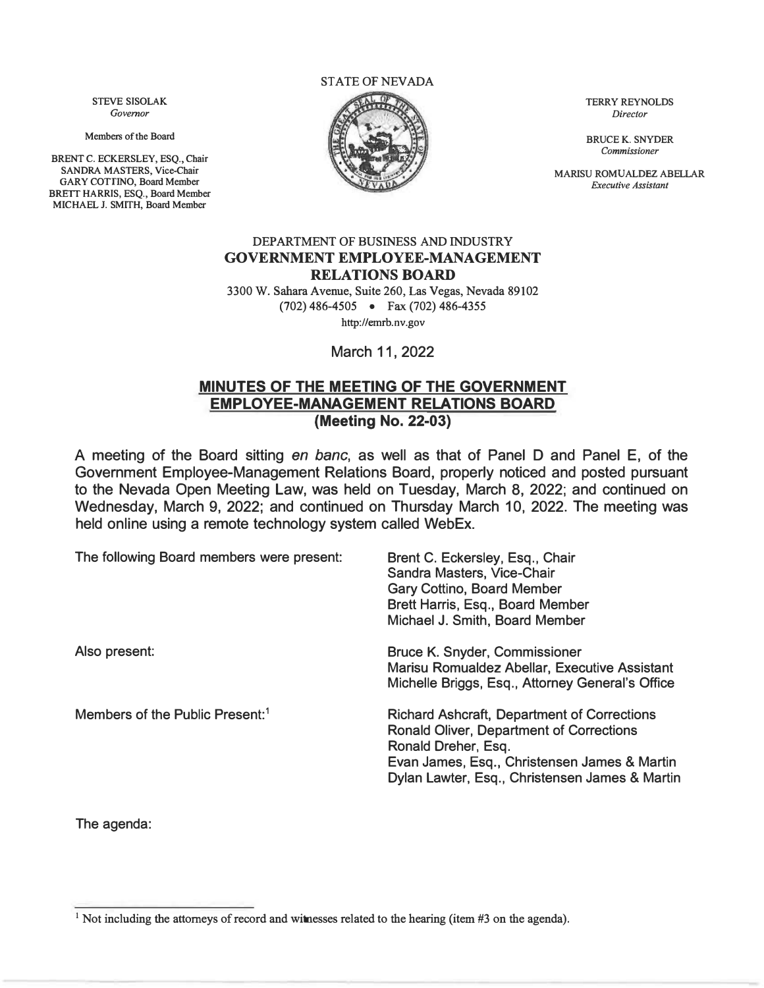STATE OF NEVADA



*Commissioner* 

**MARISU ROMUALDEZ ABELLAR**<br>*Executive Assistant* 

#### DEPARTMENT OF BUSINESS AND INDUSTRY **GOVERNMENT EMPLOYEE-MANAGEMENT RELATIONS BOARD**

3300 W. Sahara Avenue, Suite 260, Las Vegas, Nevada 89102 (702) 486-4505 • Fax (702) 486-4355 http://emrb.nv.gov

March 11, 2022

### **MINUTES OF THE MEETING OF THE GOVERNMENT EMPLOYEE-MANAGEMENT RELATIONS BOARD (Meeting No. 22-03)**

A meeting of the Board sitting *en bane,* as well as that of Panel D and Panel E, of the Government Employee-Management Relations Board, properly noticed and posted pursuant to the Nevada Open Meeting Law, was held on Tuesday, March 8, 2022; and continued on Wednesday, March 9, 2022; and continued on Thursday March 10, 2022. The meeting was held online using a remote technology system called WebEx.

| The following Board members were present:   | Brent C. Eckersley, Esq., Chair<br>Sandra Masters, Vice-Chair<br><b>Gary Cottino, Board Member</b><br>Brett Harris, Esq., Board Member<br>Michael J. Smith, Board Member                                                       |
|---------------------------------------------|--------------------------------------------------------------------------------------------------------------------------------------------------------------------------------------------------------------------------------|
| Also present:                               | <b>Bruce K. Snyder, Commissioner</b><br>Marisu Romualdez Abellar, Executive Assistant<br>Michelle Briggs, Esq., Attorney General's Office                                                                                      |
| Members of the Public Present: <sup>1</sup> | <b>Richard Ashcraft, Department of Corrections</b><br><b>Ronald Oliver, Department of Corrections</b><br>Ronald Dreher, Esq.<br>Evan James, Esq., Christensen James & Martin<br>Dylan Lawter, Esq., Christensen James & Martin |

**The agenda:** 

**BRENT C. ECKERSLEY, ESQ., Chair** 

GARY COTTINO, Board Member **BRETT HARRIS, ESQ., Board Member MICHAEL J. SMITH, Board Member** 

<sup>&</sup>lt;sup>1</sup> Not including the attorneys of record and witnesses related to the hearing (item #3 on the agenda).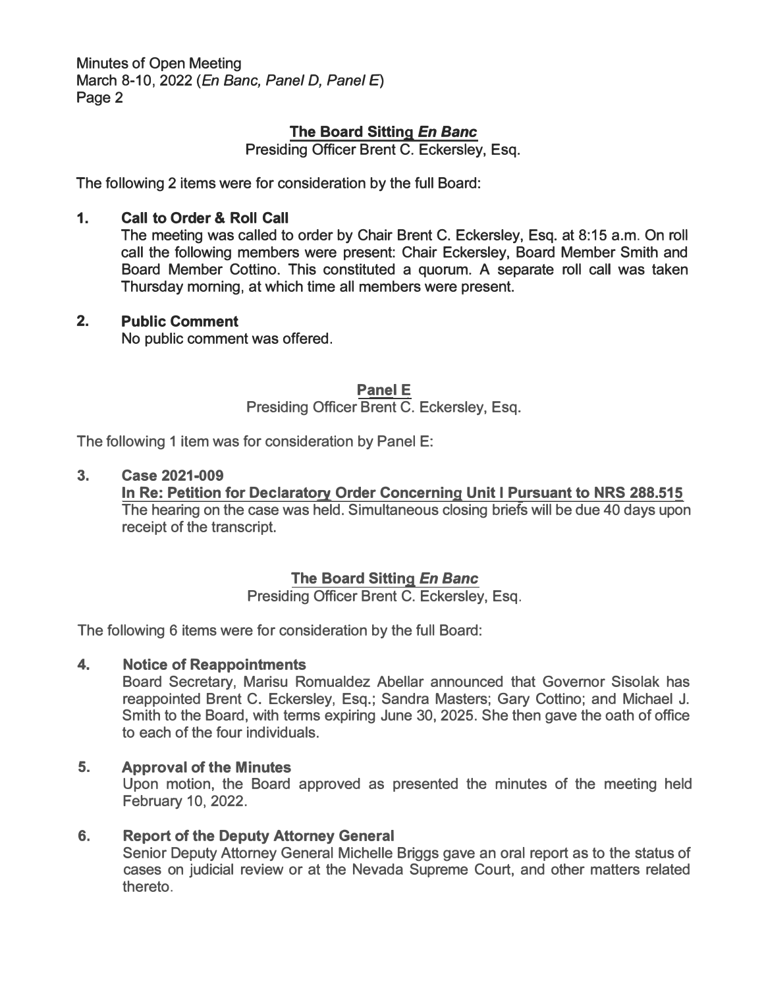**Minutes of Open Meeting March 8-10, 2022 (** *En Banc, Panel D, Panel E)*  **Page 2** 

## **The Board Sitting** *En Banc*

**Presiding Officer Brent C. Eckersley, Esq.** 

**The following 2 items were for consideration by the full Board:** 

### **1. Call to Order & Roll Call**

**The meeting was called to order by Chair Brent C. Eckersley, Esq. at 8:15 a.m. On roll call the following members were present: Chair Eckersley, Board Member Smith and Board Member Cottino. This constituted a quorum. A separate roll call was taken Thursday morning, at which time all members were present.** 

#### **2. Public Comment**

**No public comment was offered.** 

#### **Panel E**

**Presiding Officer Brent C. Eckersley, Esq.** 

**The following 1 item was for consideration by Panel E:** 

#### **3. Case 2021-009**

**In Re: Petition for Declaratory Order Concerning Unit I Pursuant to NRS 288.515 The hearing on the case was held. Simultaneous closing briefs will be due 40 days upon receipt of the transcript.** 

### **The Board Sitting** *En Banc*

**Presiding Officer Brent C. Eckersley, Esq.** 

**The following 6 items were for consideration by the full Board:** 

#### **4. Notice of Reappointments**

**Board Secretary, Marisu Romualdez Abellar announced that Governor Sisolak has reappointed Brent C. Eckersley, Esq.; Sandra Masters; Gary Cottino; and Michael J. Smith to the Board, with terms expiring June 30, 2025. She then gave the oath of office to each of the four individuals.** 

#### **5. Approval of the Minutes**

**Upon motion, the Board approved as presented the minutes of the meeting held February 10, 2022.** 

## **6. Report of the Deputy Attorney General**

**Senior Deputy Attorney General Michelle Briggs gave an oral report as to the status of cases on judicial review or at the Nevada Supreme Court, and other matters related thereto.**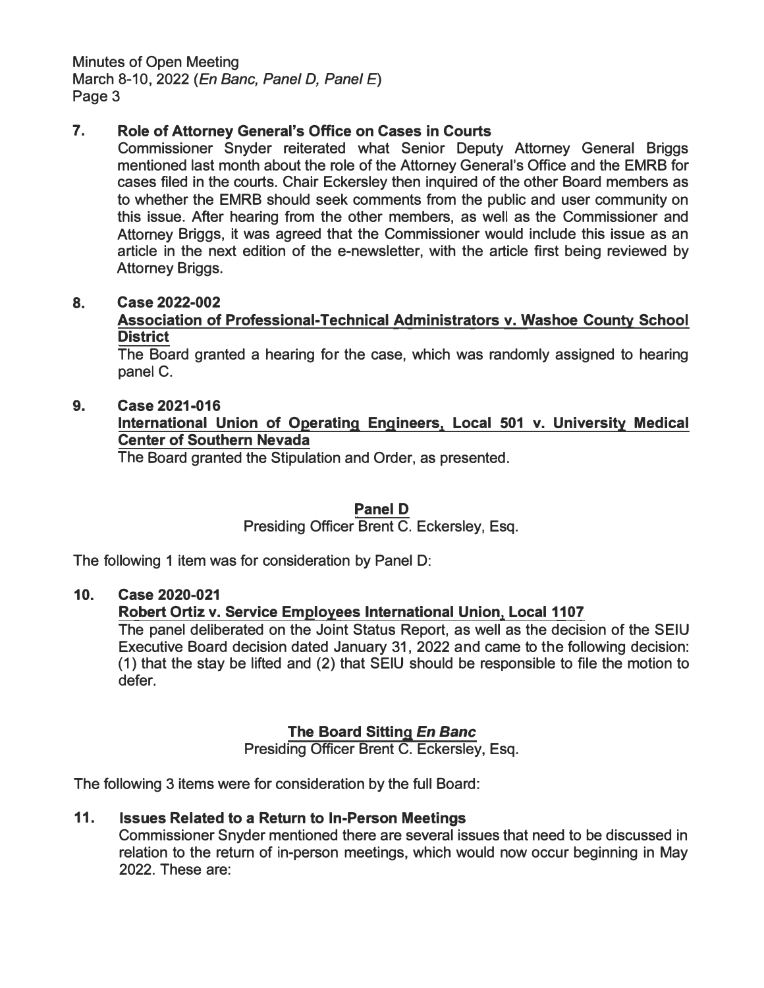**Minutes of Open Meeting March 8-10, 2022** *(En Banc, Panel D, Panel* **E) Page 3** 

## **7. Role of Attorney General's Office on Cases in Courts**

**Commissioner Snyder reiterated what Senior Deputy Attorney General Briggs mentioned last month about the role of the Attorney General's Office and the EMRB for cases filed in the courts. Chair Eckersley then inquired of the other Board members as to whether the EMRB should seek comments from the public and user community on this issue. After hearing from the other members, as well as the Commissioner and Attorney Briggs, it was agreed that the Commissioner would include this issue as an**  article in the next edition of the e-newsletter, with the article first being reviewed by **Attorney Briggs.** 

### **8. Case 2022-002**

**Association of Professional-Technical Administrators v. Washoe County School District** 

**The Board granted a hearing for the case, which was randomly assigned to hearing panel C.** 

## **9. Case 2021-016**

## **International Union of Operating Engineers, Local 501 v. University Medical Center of Southern Nevada**

**The Board granted the Stipulation and Order, as presented.** 

# **Panel D**

# **Presiding Officer Brent C. Eckersley, Esq.**

**The following 1 item was for consideration by Panel D:** 

### **10. Case 2020-021**

# **Robert Ortiz v. Service Employees International Union, Local 1107**

**The panel deliberated on the Joint Status Report, as well as the decision of the SEIU Executive Board decision dated January 31, 2022 and came to the following decision: (1) that the stay be lifted and (2) that SEIU should be responsible to file the motion to defer.** 

# **The Board Sitting** *En Banc*

**Presiding Officer Brent C. Eckersley, Esq.** 

**The following 3 items were for consideration by the full Board:** 

# **11. Issues Related to a Return to In-Person Meetings**

**Commissioner Snyder mentioned there are several issues that need to be discussed in relation to the return of in-person meetings, which would now occur beginning in May 2022. These are:**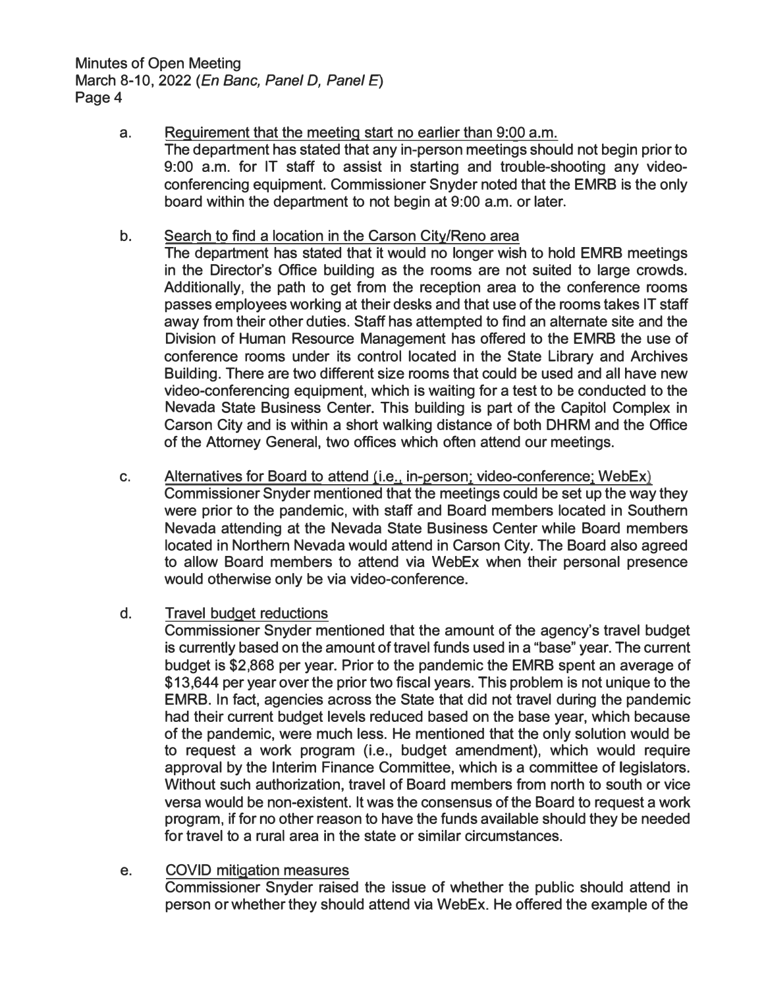**Minutes of Open Meeting March 8-10, 2022** *(En Banc, Panel D, Panel* **E) Page 4** 

> **a. Requirement that the meeting start no earlier than 9:00 a.m. The department has stated that any in-person meetings should not begin prior to 9:00 a.m. for IT staff to assist in starting and trouble-shooting any videoconferencing equipment. Commissioner Snyder noted that the EMRB is the only board within the department to not begin at 9:00 a.m. or later.**

### **b. Search to find a location in the Carson City/Reno area**

- **The department has stated that it would no longer wish to hold EMRB meetings in the Director's Office building as the rooms are not suited to large crowds. Additionally, the path to get from the reception area to the conference rooms passes employees working at their desks and that use of the rooms takes IT staff away from their other duties. Staff has attempted to find an alternate site and the Division of Human Resource Management has offered to the EMRB the use of conference rooms under its control located in the State Library and Archives Building. There are two different size rooms that could be used and all have new video-conferencing equipment, which is waiting for a test to be conducted to the Nevada State Business Center. This building is part of the Capitol Complex in Carson City and is within a short walking distance of both DHRM and the Office of the Attorney General, two offices which often attend our meetings.**
- **c. Alternatives for Board to attend (i.e**., **in-person: video-conference; WebEx) Commissioner Snyder mentioned that the meetings could be set up the way they were prior to the pandemic, with staff and Board members located in Southern Nevada attending at the Nevada State Business Center while Board members located in Northern Nevada would attend in Carson City. The Board also agreed to allow Board members to attend via WebEx when their personal presence would otherwise only be via video-conference.**

### **d. Travel budget reductions**

**Commissioner Snyder mentioned that the amount of the agency's travel budget is currently based on the amount of travel funds used in a "base" year. The current budget is \$2,868 per year. Prior to the pandemic the EMRB spent an average of \$13,64 4 per year over the prior two fiscal years. This problem is not unique to the EMRB. In fact, agencies across the State that did not travel during the pandemic had their current budget levels reduced based on the base year, which because of the pandemic, were much less. He mentioned that the only solution would be to request a work program (i.e., budget amendment), which would require approval by the Interim Finance Committee, which is a committee of legislators. Without such authorization, travel of Board members from north to south or vice versa would be non-existent. It was the consensus of the Board to request a work program, if for no other reason to have the funds available should they be needed for travel to a rural area in the state or similar circumstances.** 

### **e. COVID mitigation measures**

**Commissioner Snyder raised the issue of whether the public should attend in person or whether they should attend via WebEx. He offered the example of the**